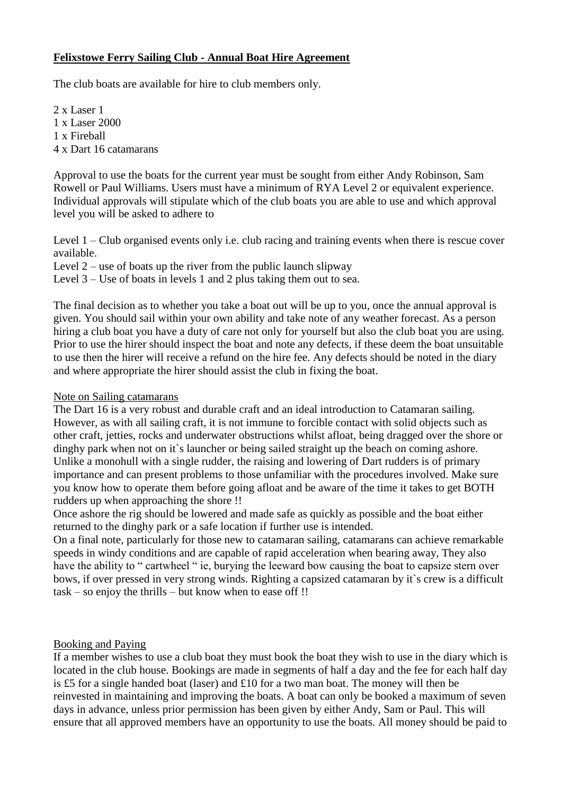# **Felixstowe Ferry Sailing Club - Annual Boat Hire Agreement**

The club boats are available for hire to club members only.

2 x Laser 1 1 x Laser 2000 1 x Fireball 4 x Dart 16 catamarans

Approval to use the boats for the current year must be sought from either Andy Robinson, Sam Rowell or Paul Williams. Users must have a minimum of RYA Level 2 or equivalent experience. Individual approvals will stipulate which of the club boats you are able to use and which approval level you will be asked to adhere to

Level 1 – Club organised events only i.e. club racing and training events when there is rescue cover available.

Level  $2$  – use of boats up the river from the public launch slipway

Level 3 – Use of boats in levels 1 and 2 plus taking them out to sea.

The final decision as to whether you take a boat out will be up to you, once the annual approval is given. You should sail within your own ability and take note of any weather forecast. As a person hiring a club boat you have a duty of care not only for yourself but also the club boat you are using. Prior to use the hirer should inspect the boat and note any defects, if these deem the boat unsuitable to use then the hirer will receive a refund on the hire fee. Any defects should be noted in the diary and where appropriate the hirer should assist the club in fixing the boat.

#### Note on Sailing catamarans

The Dart 16 is a very robust and durable craft and an ideal introduction to Catamaran sailing. However, as with all sailing craft, it is not immune to forcible contact with solid objects such as other craft, jetties, rocks and underwater obstructions whilst afloat, being dragged over the shore or dinghy park when not on it's launcher or being sailed straight up the beach on coming ashore. Unlike a monohull with a single rudder, the raising and lowering of Dart rudders is of primary importance and can present problems to those unfamiliar with the procedures involved. Make sure you know how to operate them before going afloat and be aware of the time it takes to get BOTH rudders up when approaching the shore !!

Once ashore the rig should be lowered and made safe as quickly as possible and the boat either returned to the dinghy park or a safe location if further use is intended.

On a final note, particularly for those new to catamaran sailing, catamarans can achieve remarkable speeds in windy conditions and are capable of rapid acceleration when bearing away, They also have the ability to " cartwheel " ie, burying the leeward bow causing the boat to capsize stern over bows, if over pressed in very strong winds. Righting a capsized catamaran by it`s crew is a difficult task – so enjoy the thrills – but know when to ease off !!

## Booking and Paying

If a member wishes to use a club boat they must book the boat they wish to use in the diary which is located in the club house. Bookings are made in segments of half a day and the fee for each half day is £5 for a single handed boat (laser) and £10 for a two man boat. The money will then be reinvested in maintaining and improving the boats. A boat can only be booked a maximum of seven days in advance, unless prior permission has been given by either Andy, Sam or Paul. This will ensure that all approved members have an opportunity to use the boats. All money should be paid to